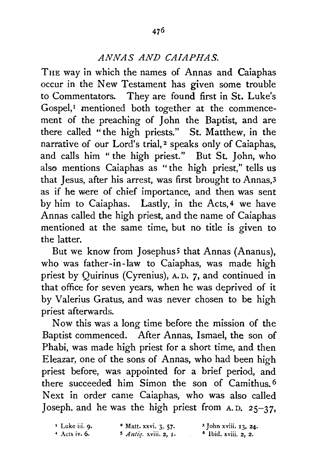## *ANNAS AND CAIAPHAS.*

THE way in which the names of Annas and Caiaphas occur in the New Testament has given some trouble to Commentators. They are found first in St. Luke's Gospel,<sup> $I$ </sup> mentioned both together at the commencement of the preaching of John the Baptist, and are there called "the high priests." St. Matthew, in the narrative of our Lord's trial, 2 speaks only of Caiaphas, and calls him "the high priest." But St. John, who also mentions Caiaphas as " the high priest," tells us that Jesus, after his arrest, was first brought to Annas,3 as if he were of chief importance, and then was sent by him to Caiaphas. Lastly, in the Acts, 4 we have Annas called the high priest, and the name of Caiaphas mentioned at the same time, but no title is given to the latter.

But we know from Josephus<sup>5</sup> that Annas (Ananus), who was father-in-law to Caiaphas, was made high priest by Quirinus (Cyrenius), A. D. 7, and continued in that office for seven years, when he was deprived of it by Valerius Gratus, and was never chosen to be high priest afterwards.

Now this was a long time before the mission of the Baptist commenced. After Annas, Ismael, the son of Phabi, was made high priest for a short time, and then Eleazar, one of the sons of Annas, who had been high priest before, was appointed for a brief period, and there succeeded him Simon the son of Camithus. 6 Next in order came Caiaphas, who was also called Joseph, and he was the high priest from  $A, D, 25-37$ .

| <sup>1</sup> Luke iii. 9. | <sup>2</sup> Matt. xxvi. 3, 57. | <sup>3</sup> John xviii. 13, 24. |
|---------------------------|---------------------------------|----------------------------------|
| $4$ Acts iv. 6.           | $5$ Antiq. xviii. 2, 1.         | $\bullet$ Ibid. xviii. 2, 2.     |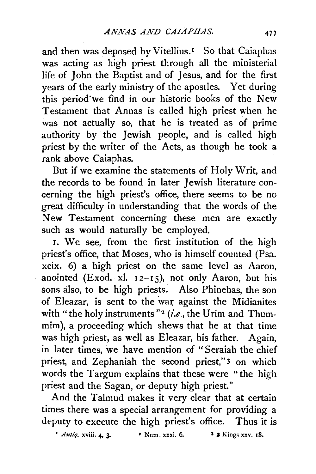and then was deposed by Vitellius.<sup>1</sup> So that Caiaphas was acting as high priest through all the ministerial life of John the Baptist and of Jesus, and for the first years of the early ministry of the apostles. Yet during this period'we find in our historic books of the New Testament that Annas is called high priest when he was not actually so, that he is treated as of prime authority by the Jewish people, and is called high priest by the writer of the Acts, as though he took a rank above Caiaphas.

But if we examine the statements of Holy Writ, and the records to be found in later Jewish literature concerning the high priest's office, there seems to be no great difficulty in understanding that the words of the New Testament concerning these men are exactly such as would naturally be employed.

1. We see, from the first institution of the high priest's office, that Moses, who is himself counted (Psa. xcix. 6) a high priest on the same level as Aaron, anointed (Exod. xl.  $12-15$ ), not only Aaron, but his sons also, to be high priests. Also Phinehas, the son of Eleazar, is sent to the wat: against the Midianites with "the holy instruments"<sup>2</sup> (i.e., the Urim and Thummim), a proceeding which shews that he at that time was high priest, as well as Eleazar, his father. Again, in later times, we have mention of "Seraiah the chief priest, and Zephaniah the second priest,"<sup>3</sup> on which words the Targum explains that these were "the high priest and the Sagan, or deputy high priest."

And the Talmud makes it very clear that at certain times there was a special arrangement for providing a deputy to execute the high priest's office. Thus it is

 $Antiq$ , xviii. 4, 3. • Num. xxxi. 6. **3 2** Kings xxv. 18.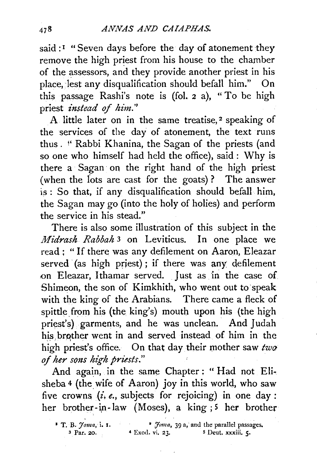said :<sup>I</sup> "Seven days before the day of atonement they remove the high priest from his house to the chamber of the assessors, and they provide another priest in his place, lest any disqualification should befall him." On this passage Rashi's note is (fol. 2 a), "To be high priest *instead of him.''* 

A little later on in the same treatise, 2 speaking of the services of the day of atonement, the text runs thus. !' Rabbi Khanina, the Sagan of the priests (and so one who himself had held the office), said : Why is there a Sagan on the right hand of the high priest (when the fots are cast for the goats)? The answer is : So that, if any disqualification should befall him, the Sagan may go (into the holy of holies) and perform the service in his stead."

There is also some illustration of this subject in the *Midrash Rabbah* 3 on Leviticus. In one place we read; "If there was any defilement on Aaron, Eleazar served (as high priest); if there was any defilement on Eleazar, Ithamar served. Just as in the case of Shimeon, the son of Kimkhith, who went out to speak with the king of the Arabians. There came a fleck of spittle from his (the king's) mouth upon his (the high priest's) garments, and he was unclean. And Judah his.brqther went in and served instead of him in the high priest's office. On that day their mother saw  $two$ *ofher so1zs h£ghpriests."* 

And again, in the same Chapter ; "Had not Elisheba 4 (the wife of Aaron) joy in this world, who saw five crowns *(£, e.,* subjects for rejoicing) in one day : her brother-in-law (Moses), a king  $; 5$  her brother

<sup>&</sup>lt;sup>•</sup> T. B. *Joma*, *i.* 1. **•** *foma*, 39 a, and the parallel passages. 3 Par. 20. 4 Exod. vi. 23. **5 Deut. xxxiii. 5.**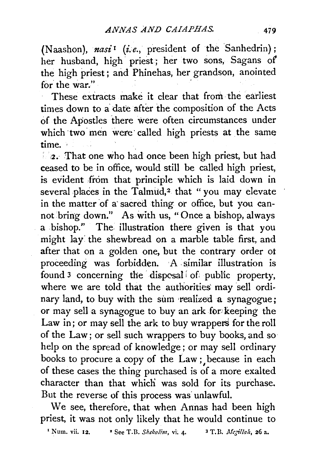(Naashon), nasi<sup>1</sup> (i.e., president of the Sanhedrin); her husband, high · priest ; her two sons, Sagans *oi*  the high priest; and Phinehas, her grandson, anointed for the war."

These extracts make it clear that from· the earliest times down to a date after the composition of the Acts of the Apostles there were often circumstances under which two men were called high priests at the same time. ·

2. That one who had once been high priest, but had ceased to be in office, would still be called high priest, is evident from that principle which is laid down in several places in the Talmud,<sup>2</sup> that "you may elevate in the matter of a sacred thing or office, but you cannot bring down." As with us, "Once a bishop, always a bishop." The. illustration there given is that you might lay: the shewbread on a marble table first, and after that on a golden one, but the contrary order ot proceeding was forbidden. A similar illustration is found 3 concerning the · dispcsal *i* of public property, where we are told that the authorities may sell ordinary land, to buy with the sum realized a synagogue; or may sell a synagogue to buy an ark for: keeping the Law in; or may sell the ark to buy wrappers for the roll of the Law; or sell such wrappers to buy books, and so help on the spread of knowledge; or may sell ordinary books to procure a copy of the Law ; because in each of these cases the thing purchased is of a more exalted character than that which was sold for its purchase. But the reverse of this process was unlawful.

We see, therefore, that when Annas had been high priest, it was not only likely that he would continue to

<sup>1</sup> Num. vii. 12. <sup>2</sup> See T.B. *Shekalim*, vi. 4. <sup>3</sup> T.B. *Megillah*, **26 a.**